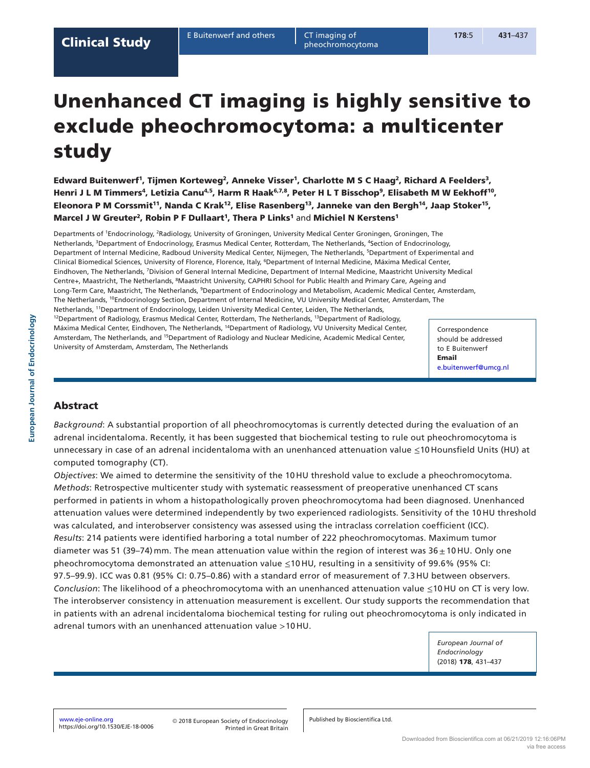pheochromocytoma

# Unenhanced CT imaging is highly sensitive to exclude pheochromocytoma: a multicenter study

Edward Buitenwerf<sup>1</sup>, Tijmen Korteweg<sup>2</sup>, Anneke Visser<sup>1</sup>, Charlotte M S C Haag<sup>2</sup>, Richard A Feelders<sup>3</sup>, Henri J L M Timmers<sup>4</sup>, Letizia Canu<sup>4,5</sup>, Harm R Haak<sup>6,7,8</sup>, Peter H L T Bisschop<sup>9</sup>, Elisabeth M W Eekhoff<sup>10</sup>, Eleonora P M Corssmit<sup>11</sup>, Nanda C Krak<sup>12</sup>, Elise Rasenberg<sup>13</sup>, Janneke van den Bergh<sup>14</sup>, Jaap Stoker<sup>15</sup>, Marcel J W Greuter<sup>2</sup>, Robin P F Dullaart<sup>1</sup>, Thera P Links<sup>1</sup> and Michiel N Kerstens<sup>1</sup>

Departments of 1Endocrinology, 2Radiology, University of Groningen, University Medical Center Groningen, Groningen, The Netherlands, <sup>3</sup>Department of Endocrinology, Erasmus Medical Center, Rotterdam, The Netherlands, <sup>4</sup>Section of Endocrinology, Department of Internal Medicine, Radboud University Medical Center, Nijmegen, The Netherlands, 5Department of Experimental and Clinical Biomedical Sciences, University of Florence, Florence, Italy, 6Department of Internal Medicine, Máxima Medical Center, Eindhoven, The Netherlands, 7Division of General Internal Medicine, Department of Internal Medicine, Maastricht University Medical Centre+, Maastricht, The Netherlands, 8Maastricht University, CAPHRI School for Public Health and Primary Care, Ageing and Long-Term Care, Maastricht, The Netherlands, <sup>9</sup>Department of Endocrinology and Metabolism, Academic Medical Center, Amsterdam, The Netherlands, 10Endocrinology Section, Department of Internal Medicine, VU University Medical Center, Amsterdam, The Netherlands, 11Department of Endocrinology, Leiden University Medical Center, Leiden, The Netherlands, <sup>12</sup>Department of Radiology, Erasmus Medical Center, Rotterdam, The Netherlands, <sup>13</sup>Department of Radiology, Máxima Medical Center, Eindhoven, The Netherlands, 14Department of Radiology, VU University Medical Center, Amsterdam, The Netherlands, and <sup>15</sup>Department of Radiology and Nuclear Medicine, Academic Medical Center, University of Amsterdam, Amsterdam, The Netherlands

Correspondence should be addressed to E Buitenwerf Email [e.buitenwerf@umcg.nl](mailto:e.buitenwerf@umcg.nl)

# Abstract

*Background*: A substantial proportion of all pheochromocytomas is currently detected during the evaluation of an adrenal incidentaloma. Recently, it has been suggested that biochemical testing to rule out pheochromocytoma is unnecessary in case of an adrenal incidentaloma with an unenhanced attenuation value ≤10 Hounsfield Units (HU) at computed tomography (CT).

*Objectives*: We aimed to determine the sensitivity of the 10 HU threshold value to exclude a pheochromocytoma. *Methods*: Retrospective multicenter study with systematic reassessment of preoperative unenhanced CT scans performed in patients in whom a histopathologically proven pheochromocytoma had been diagnosed. Unenhanced attenuation values were determined independently by two experienced radiologists. Sensitivity of the 10 HU threshold was calculated, and interobserver consistency was assessed using the intraclass correlation coefficient (ICC). *Results*: 214 patients were identified harboring a total number of 222 pheochromocytomas. Maximum tumor diameter was 51 (39–74) mm. The mean attenuation value within the region of interest was  $36 \pm 10$  HU. Only one pheochromocytoma demonstrated an attenuation value ≤10 HU, resulting in a sensitivity of 99.6% (95% CI: 97.5–99.9). ICC was 0.81 (95% CI: 0.75–0.86) with a standard error of measurement of 7.3 HU between observers. *Conclusion*: The likelihood of a pheochromocytoma with an unenhanced attenuation value ≤10 HU on CT is very low. The interobserver consistency in attenuation measurement is excellent. Our study supports the recommendation that in patients with an adrenal incidentaloma biochemical testing for ruling out pheochromocytoma is only indicated in adrenal tumors with an unenhanced attenuation value >10 HU.

> *European Journal of Endocrinology*  (2018) 178, 431–437

Published by Bioscientifica Ltd.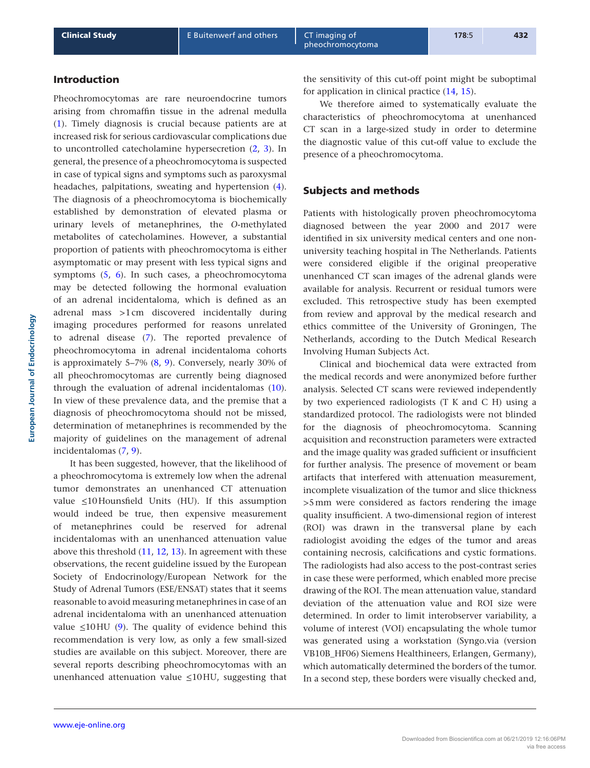## Introduction

Pheochromocytomas are rare neuroendocrine tumors arising from chromaffin tissue in the adrenal medulla [\(1\)](#page-5-0). Timely diagnosis is crucial because patients are at increased risk for serious cardiovascular complications due to uncontrolled catecholamine hypersecretion ([2,](#page-5-1) [3\)](#page-5-2). In general, the presence of a pheochromocytoma is suspected in case of typical signs and symptoms such as paroxysmal headaches, palpitations, sweating and hypertension [\(4](#page-5-3)). The diagnosis of a pheochromocytoma is biochemically established by demonstration of elevated plasma or urinary levels of metanephrines, the *O*-methylated metabolites of catecholamines. However, a substantial proportion of patients with pheochromocytoma is either asymptomatic or may present with less typical signs and symptoms ([5,](#page-5-4) [6\)](#page-5-5). In such cases, a pheochromocytoma may be detected following the hormonal evaluation of an adrenal incidentaloma, which is defined as an adrenal mass >1cm discovered incidentally during imaging procedures performed for reasons unrelated to adrenal disease [\(7](#page-5-6)). The reported prevalence of pheochromocytoma in adrenal incidentaloma cohorts is approximately 5–7% ([8](#page-5-7), [9](#page-5-8)). Conversely, nearly 30% of all pheochromocytomas are currently being diagnosed through the evaluation of adrenal incidentalomas [\(10](#page-5-9)). In view of these prevalence data, and the premise that a diagnosis of pheochromocytoma should not be missed, determination of metanephrines is recommended by the majority of guidelines on the management of adrenal incidentalomas [\(7,](#page-5-6) [9\)](#page-5-8).

It has been suggested, however, that the likelihood of a pheochromocytoma is extremely low when the adrenal tumor demonstrates an unenhanced CT attenuation value ≤10Hounsfield Units (HU). If this assumption would indeed be true, then expensive measurement of metanephrines could be reserved for adrenal incidentalomas with an unenhanced attenuation value above this threshold [\(11](#page-6-0), [12,](#page-6-1) [13](#page-6-2)). In agreement with these observations, the recent guideline issued by the European Society of Endocrinology/European Network for the Study of Adrenal Tumors (ESE/ENSAT) states that it seems reasonable to avoid measuring metanephrines in case of an adrenal incidentaloma with an unenhanced attenuation value ≤10HU ([9\)](#page-5-8). The quality of evidence behind this recommendation is very low, as only a few small-sized studies are available on this subject. Moreover, there are several reports describing pheochromocytomas with an unenhanced attenuation value ≤10HU, suggesting that

the sensitivity of this cut-off point might be suboptimal for application in clinical practice ([14,](#page-6-3) [15](#page-6-4)).

We therefore aimed to systematically evaluate the characteristics of pheochromocytoma at unenhanced CT scan in a large-sized study in order to determine the diagnostic value of this cut-off value to exclude the presence of a pheochromocytoma.

## Subjects and methods

Patients with histologically proven pheochromocytoma diagnosed between the year 2000 and 2017 were identified in six university medical centers and one nonuniversity teaching hospital in The Netherlands. Patients were considered eligible if the original preoperative unenhanced CT scan images of the adrenal glands were available for analysis. Recurrent or residual tumors were excluded. This retrospective study has been exempted from review and approval by the medical research and ethics committee of the University of Groningen, The Netherlands, according to the Dutch Medical Research Involving Human Subjects Act.

Clinical and biochemical data were extracted from the medical records and were anonymized before further analysis. Selected CT scans were reviewed independently by two experienced radiologists (T K and C H) using a standardized protocol. The radiologists were not blinded for the diagnosis of pheochromocytoma. Scanning acquisition and reconstruction parameters were extracted and the image quality was graded sufficient or insufficient for further analysis. The presence of movement or beam artifacts that interfered with attenuation measurement, incomplete visualization of the tumor and slice thickness >5mm were considered as factors rendering the image quality insufficient. A two-dimensional region of interest (ROI) was drawn in the transversal plane by each radiologist avoiding the edges of the tumor and areas containing necrosis, calcifications and cystic formations. The radiologists had also access to the post-contrast series in case these were performed, which enabled more precise drawing of the ROI. The mean attenuation value, standard deviation of the attenuation value and ROI size were determined. In order to limit interobserver variability, a volume of interest (VOI) encapsulating the whole tumor was generated using a workstation (Syngo.via (version VB10B\_HF06) Siemens Healthineers, Erlangen, Germany), which automatically determined the borders of the tumor. In a second step, these borders were visually checked and,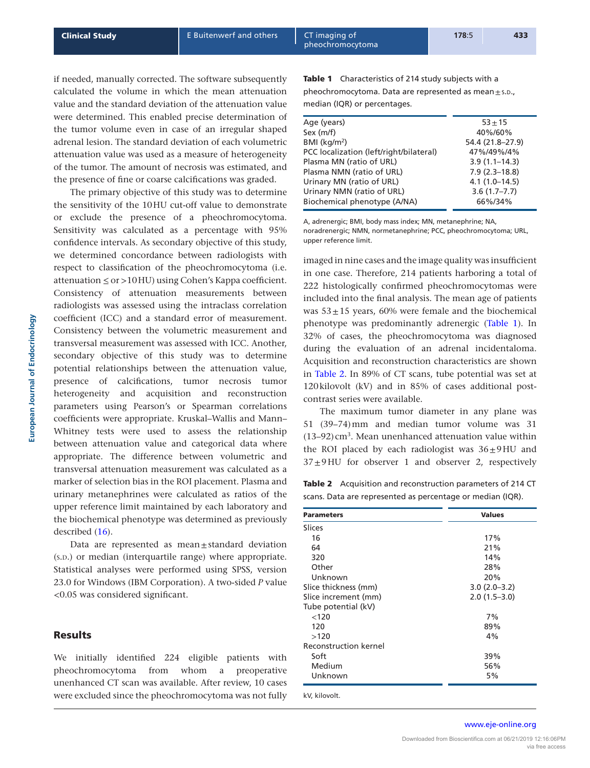if needed, manually corrected. The software subsequently calculated the volume in which the mean attenuation value and the standard deviation of the attenuation value were determined. This enabled precise determination of the tumor volume even in case of an irregular shaped adrenal lesion. The standard deviation of each volumetric attenuation value was used as a measure of heterogeneity of the tumor. The amount of necrosis was estimated, and the presence of fine or coarse calcifications was graded.

The primary objective of this study was to determine the sensitivity of the 10HU cut-off value to demonstrate or exclude the presence of a pheochromocytoma. Sensitivity was calculated as a percentage with 95% confidence intervals. As secondary objective of this study, we determined concordance between radiologists with respect to classification of the pheochromocytoma (i.e. attenuation  $\leq$  or  $>$ 10HU) using Cohen's Kappa coefficient. Consistency of attenuation measurements between radiologists was assessed using the intraclass correlation coefficient (ICC) and a standard error of measurement. Consistency between the volumetric measurement and transversal measurement was assessed with ICC. Another, secondary objective of this study was to determine potential relationships between the attenuation value, presence of calcifications, tumor necrosis tumor heterogeneity and acquisition and reconstruction parameters using Pearson's or Spearman correlations coefficients were appropriate. Kruskal–Wallis and Mann– Whitney tests were used to assess the relationship between attenuation value and categorical data where appropriate. The difference between volumetric and transversal attenuation measurement was calculated as a marker of selection bias in the ROI placement. Plasma and urinary metanephrines were calculated as ratios of the upper reference limit maintained by each laboratory and the biochemical phenotype was determined as previously described ([16\)](#page-6-5).

Data are represented as  $mean \pm$ standard deviation (s.p.) or median (interquartile range) where appropriate. Statistical analyses were performed using SPSS, version 23.0 for Windows (IBM Corporation). A two-sided *P* value <0.05 was considered significant.

#### Results

We initially identified 224 eligible patients with pheochromocytoma from whom a preoperative unenhanced CT scan was available. After review, 10 cases were excluded since the pheochromocytoma was not fully Table 1 Characteristics of 214 study subjects with a pheochromocytoma. Data are represented as mean $\pm$ s.D., median (IQR) or percentages.

| Age (years)                             | $53 + 15$         |
|-----------------------------------------|-------------------|
| Sex (m/f)                               | 40%/60%           |
| $BMI$ (kg/m <sup>2</sup> )              | 54.4 (21.8-27.9)  |
| PCC localization (left/right/bilateral) | 47%/49%/4%        |
| Plasma MN (ratio of URL)                | $3.9(1.1 - 14.3)$ |
| Plasma NMN (ratio of URL)               | $7.9(2.3 - 18.8)$ |
| Urinary MN (ratio of URL)               | $4.1(1.0-14.5)$   |
| Urinary NMN (ratio of URL)              | $3.6(1.7 - 7.7)$  |
| Biochemical phenotype (A/NA)            | 66%/34%           |
|                                         |                   |

A, adrenergic; BMI, body mass index; MN, metanephrine; NA, noradrenergic; NMN, normetanephrine; PCC, pheochromocytoma; URL, upper reference limit.

imaged in nine cases and the image quality was insufficient in one case. Therefore, 214 patients harboring a total of 222 histologically confirmed pheochromocytomas were included into the final analysis. The mean age of patients was  $53\pm15$  years, 60% were female and the biochemical phenotype was predominantly adrenergic (Table 1). In 32% of cases, the pheochromocytoma was diagnosed during the evaluation of an adrenal incidentaloma. Acquisition and reconstruction characteristics are shown in Table 2. In 89% of CT scans, tube potential was set at 120kilovolt (kV) and in 85% of cases additional postcontrast series were available.

The maximum tumor diameter in any plane was 51 (39–74)mm and median tumor volume was 31  $(13-92)$  cm<sup>3</sup>. Mean unenhanced attenuation value within the ROI placed by each radiologist was  $36\pm9$ HU and  $37±9$  HU for observer 1 and observer 2, respectively

Table 2 Acquisition and reconstruction parameters of 214 CT scans. Data are represented as percentage or median (IQR).

| <b>Parameters</b>            | <b>Values</b>  |
|------------------------------|----------------|
| Slices                       |                |
| 16                           | 17%            |
| 64                           | 21%            |
| 320                          | 14%            |
| Other                        | 28%            |
| Unknown                      | 20%            |
| Slice thickness (mm)         | $3.0(2.0-3.2)$ |
| Slice increment (mm)         | $2.0(1.5-3.0)$ |
| Tube potential (kV)          |                |
| < 120                        | 7%             |
| 120                          | 89%            |
| >120                         | 4%             |
| <b>Reconstruction kernel</b> |                |
| Soft                         | 39%            |
| Medium                       | 56%            |
| Unknown                      | 5%             |

**European Journal of Endocrinology**

European Journal of Endocrinology

www.eje-online.org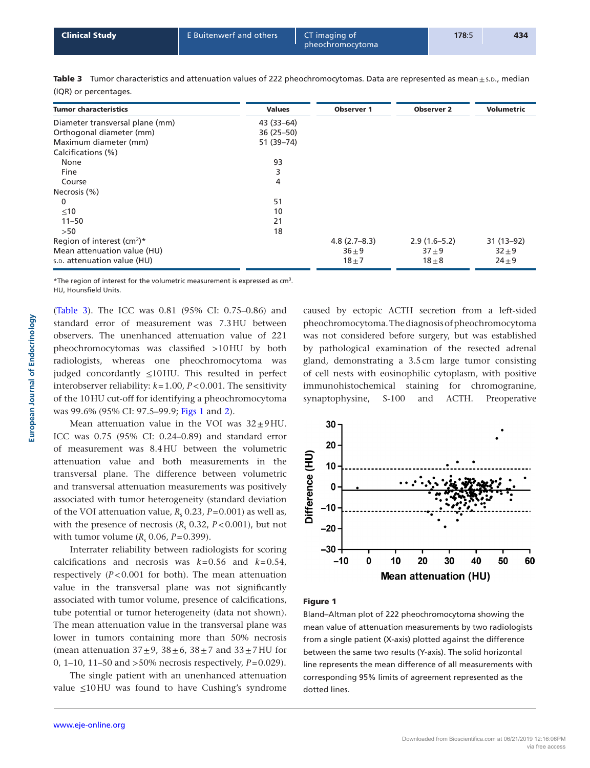| <b>Clinical Study</b> | E Buitenwerf and others | CT imaging of<br>pheochromocytoma | 178:5 | 434 |
|-----------------------|-------------------------|-----------------------------------|-------|-----|
|                       |                         |                                   |       |     |

| <b>Tumor characteristics</b>             | <b>Values</b> | <b>Observer 1</b> | <b>Observer 2</b> | <b>Volumetric</b> |
|------------------------------------------|---------------|-------------------|-------------------|-------------------|
| Diameter transversal plane (mm)          | 43 (33-64)    |                   |                   |                   |
| Orthogonal diameter (mm)                 | $36(25 - 50)$ |                   |                   |                   |
| Maximum diameter (mm)                    | 51 (39-74)    |                   |                   |                   |
| Calcifications (%)                       |               |                   |                   |                   |
| None                                     | 93            |                   |                   |                   |
| Fine                                     | 3             |                   |                   |                   |
| Course                                   | 4             |                   |                   |                   |
| Necrosis (%)                             |               |                   |                   |                   |
| $\mathbf{0}$                             | 51            |                   |                   |                   |
| $\leq 10$                                | 10            |                   |                   |                   |
| $11 - 50$                                | 21            |                   |                   |                   |
| >50                                      | 18            |                   |                   |                   |
| Region of interest $(cm^2)^*$            |               | $4.8(2.7 - 8.3)$  | $2.9(1.6-5.2)$    | $31(13-92)$       |
| Mean attenuation value (HU)              |               | $36 \pm 9$        | $37 + 9$          | $32 + 9$          |
| s. <sub>D</sub> . attenuation value (HU) |               | $18 + 7$          | $18\pm8$          | $24 + 9$          |

Table 3 Tumor characteristics and attenuation values of 222 pheochromocytomas. Data are represented as mean $\pm$ s.p., median (IQR) or percentages.

\*The region of interest for the volumetric measurement is expressed as  $cm<sup>3</sup>$ . HU, Hounsfield Units.

(Table 3). The ICC was 0.81 (95% CI: 0.75–0.86) and standard error of measurement was 7.3HU between observers. The unenhanced attenuation value of 221 pheochromocytomas was classified >10HU by both radiologists, whereas one pheochromocytoma was judged concordantly ≤10HU. This resulted in perfect interobserver reliability: *k*=1.00, *P*<0.001. The sensitivity of the 10HU cut-off for identifying a pheochromocytoma was 99.6% (95% CI: 97.5–99.9; Figs 1 and [2](#page-4-0)).

Mean attenuation value in the VOI was  $32 \pm 9$  HU. ICC was 0.75 (95% CI: 0.24–0.89) and standard error of measurement was 8.4HU between the volumetric attenuation value and both measurements in the transversal plane. The difference between volumetric and transversal attenuation measurements was positively associated with tumor heterogeneity (standard deviation of the VOI attenuation value,  $R_s$  0.23,  $P=0.001$ ) as well as, with the presence of necrosis  $(R_s 0.32, P < 0.001)$ , but not with tumor volume  $(R_s 0.06, P=0.399)$ .

Interrater reliability between radiologists for scoring calcifications and necrosis was *k*=0.56 and *k*=0.54, respectively (*P*<0.001 for both). The mean attenuation value in the transversal plane was not significantly associated with tumor volume, presence of calcifications, tube potential or tumor heterogeneity (data not shown). The mean attenuation value in the transversal plane was lower in tumors containing more than 50% necrosis (mean attenuation  $37\pm9$ ,  $38\pm6$ ,  $38\pm7$  and  $33\pm7$  HU for 0, 1–10, 11–50 and >50% necrosis respectively, *P*=0.029).

The single patient with an unenhanced attenuation value ≤10HU was found to have Cushing's syndrome caused by ectopic ACTH secretion from a left-sided pheochromocytoma. The diagnosis of pheochromocytoma was not considered before surgery, but was established by pathological examination of the resected adrenal gland, demonstrating a 3.5cm large tumor consisting of cell nests with eosinophilic cytoplasm, with positive immunohistochemical staining for chromogranine, synaptophysine, S-100 and ACTH. Preoperative



### Figure 1

Bland–Altman plot of 222 pheochromocytoma showing the mean value of attenuation measurements by two radiologists from a single patient (X-axis) plotted against the difference between the same two results (Y-axis). The solid horizontal line represents the mean difference of all measurements with corresponding 95% limits of agreement represented as the dotted lines.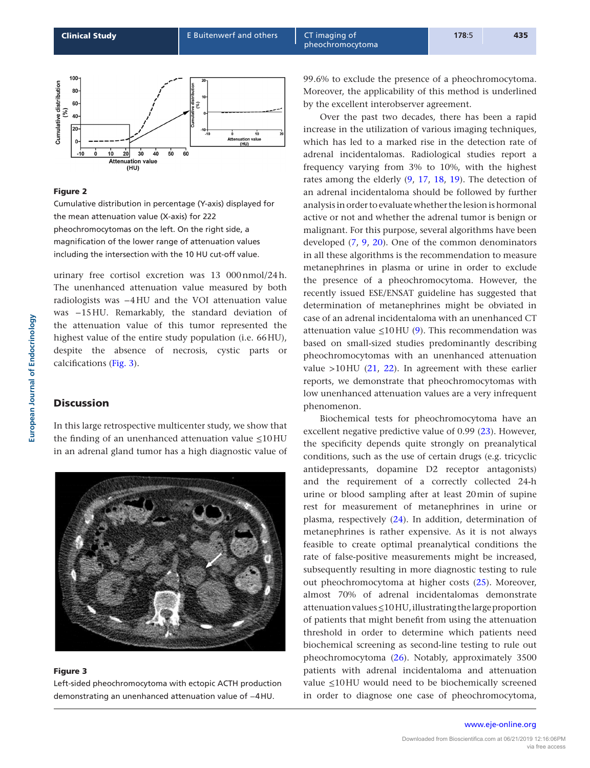<span id="page-4-0"></span>

#### Figure 2

Cumulative distribution in percentage (Y-axis) displayed for the mean attenuation value (X-axis) for 222 pheochromocytomas on the left. On the right side, a magnification of the lower range of attenuation values including the intersection with the 10 HU cut-off value.

urinary free cortisol excretion was 13 000nmol/24h. The unenhanced attenuation value measured by both radiologists was −4HU and the VOI attenuation value was −15HU. Remarkably, the standard deviation of the attenuation value of this tumor represented the highest value of the entire study population (i.e. 66HU), despite the absence of necrosis, cystic parts or calcifications (Fig. 3).

## **Discussion**

In this large retrospective multicenter study, we show that the finding of an unenhanced attenuation value ≤10HU in an adrenal gland tumor has a high diagnostic value of



## Figure 3

Left-sided pheochromocytoma with ectopic ACTH production demonstrating an unenhanced attenuation value of −4HU.

99.6% to exclude the presence of a pheochromocytoma. Moreover, the applicability of this method is underlined by the excellent interobserver agreement.

Over the past two decades, there has been a rapid increase in the utilization of various imaging techniques, which has led to a marked rise in the detection rate of adrenal incidentalomas. Radiological studies report a frequency varying from 3% to 10%, with the highest rates among the elderly ([9](#page-5-8), [17](#page-6-6), [18,](#page-6-7) [19\)](#page-6-8). The detection of an adrenal incidentaloma should be followed by further analysis in order to evaluate whether the lesion is hormonal active or not and whether the adrenal tumor is benign or malignant. For this purpose, several algorithms have been developed ([7](#page-5-6), [9](#page-5-8), [20](#page-6-9)). One of the common denominators in all these algorithms is the recommendation to measure metanephrines in plasma or urine in order to exclude the presence of a pheochromocytoma. However, the recently issued ESE/ENSAT guideline has suggested that determination of metanephrines might be obviated in case of an adrenal incidentaloma with an unenhanced CT attenuation value  $\leq 10$  HU ([9](#page-5-8)). This recommendation was based on small-sized studies predominantly describing pheochromocytomas with an unenhanced attenuation value  $>10$ HU [\(21,](#page-6-10) [22](#page-6-11)). In agreement with these earlier reports, we demonstrate that pheochromocytomas with low unenhanced attenuation values are a very infrequent phenomenon.

Biochemical tests for pheochromocytoma have an excellent negative predictive value of 0.99 ([23\)](#page-6-12). However, the specificity depends quite strongly on preanalytical conditions, such as the use of certain drugs (e.g. tricyclic antidepressants, dopamine D2 receptor antagonists) and the requirement of a correctly collected 24-h urine or blood sampling after at least 20min of supine rest for measurement of metanephrines in urine or plasma, respectively [\(24\)](#page-6-13). In addition, determination of metanephrines is rather expensive. As it is not always feasible to create optimal preanalytical conditions the rate of false-positive measurements might be increased, subsequently resulting in more diagnostic testing to rule out pheochromocytoma at higher costs [\(25](#page-6-14)). Moreover, almost 70% of adrenal incidentalomas demonstrate attenuation values ≤10HU, illustrating the large proportion of patients that might benefit from using the attenuation threshold in order to determine which patients need biochemical screening as second-line testing to rule out pheochromocytoma ([26](#page-6-15)). Notably, approximately 3500 patients with adrenal incidentaloma and attenuation value ≤10HU would need to be biochemically screened in order to diagnose one case of pheochromocytoma,

#### www.eje-online.org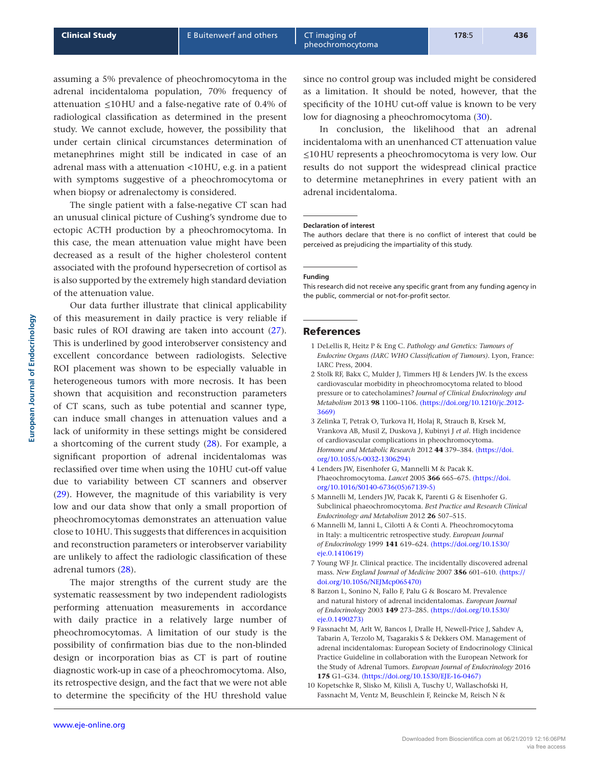since no control group was included might be considered as a limitation. It should be noted, however, that the specificity of the 10HU cut-off value is known to be very low for diagnosing a pheochromocytoma [\(30\)](#page-6-19).

In conclusion, the likelihood that an adrenal incidentaloma with an unenhanced CT attenuation value ≤10HU represents a pheochromocytoma is very low. Our results do not support the widespread clinical practice to determine metanephrines in every patient with an adrenal incidentaloma.

#### **Declaration of interest**

The authors declare that there is no conflict of interest that could be perceived as prejudicing the impartiality of this study.

#### **Funding**

This research did not receive any specific grant from any funding agency in the public, commercial or not-for-profit sector.

#### References

- <span id="page-5-0"></span>1 DeLellis R, Heitz P & Eng C. *Pathology and Genetics: Tumours of Endocrine Organs (IARC WHO Classification of Tumours)*. Lyon, France: IARC Press, 2004.
- <span id="page-5-1"></span>2 Stolk RF, Bakx C, Mulder J, Timmers HJ & Lenders JW. Is the excess cardiovascular morbidity in pheochromocytoma related to blood pressure or to catecholamines? *Journal of Clinical Endocrinology and Metabolism* 2013 **98** 1100–1106. [\(https://doi.org/10.1210/jc.2012-](https://doi.org/10.1210/jc.2012-3669) [3669\)](https://doi.org/10.1210/jc.2012-3669)
- <span id="page-5-2"></span>3 Zelinka T, Petrak O, Turkova H, Holaj R, Strauch B, Krsek M, Vrankova AB, Musil Z, Duskova J, Kubinyi J *et al*. High incidence of cardiovascular complications in pheochromocytoma. *Hormone and Metabolic Research* 2012 **44** 379–384. [\(https://doi.](https://doi.org/10.1055/s-0032-1306294) [org/10.1055/s-0032-1306294\)](https://doi.org/10.1055/s-0032-1306294)
- <span id="page-5-3"></span>4 Lenders JW, Eisenhofer G, Mannelli M & Pacak K. Phaeochromocytoma. *Lancet* 2005 **366** 665–675. [\(https://doi.](https://doi.org/10.1016/S0140-6736(05)67139-5) [org/10.1016/S0140-6736\(05\)67139-5\)](https://doi.org/10.1016/S0140-6736(05)67139-5)
- <span id="page-5-4"></span>5 Mannelli M, Lenders JW, Pacak K, Parenti G & Eisenhofer G. Subclinical phaeochromocytoma. *Best Practice and Research Clinical Endocrinology and Metabolism* 2012 **26** 507–515.
- <span id="page-5-5"></span>6 Mannelli M, Ianni L, Cilotti A & Conti A. Pheochromocytoma in Italy: a multicentric retrospective study. *European Journal of Endocrinology* 1999 **141** 619–624. [\(https://doi.org/10.1530/](https://doi.org/10.1530/eje.0.1410619) [eje.0.1410619\)](https://doi.org/10.1530/eje.0.1410619)
- <span id="page-5-6"></span>7 Young WF Jr. Clinical practice. The incidentally discovered adrenal mass. *New England Journal of Medicine* 2007 **356** 601–610. [\(https://](https://doi.org/10.1056/NEJMcp065470) [doi.org/10.1056/NEJMcp065470\)](https://doi.org/10.1056/NEJMcp065470)
- <span id="page-5-7"></span>8 Barzon L, Sonino N, Fallo F, Palu G & Boscaro M. Prevalence and natural history of adrenal incidentalomas. *European Journal of Endocrinology* 2003 **149** 273–285. [\(https://doi.org/10.1530/](https://doi.org/10.1530/eje.0.1490273) [eje.0.1490273\)](https://doi.org/10.1530/eje.0.1490273)
- <span id="page-5-8"></span>9 Fassnacht M, Arlt W, Bancos I, Dralle H, Newell-Price J, Sahdev A, Tabarin A, Terzolo M, Tsagarakis S & Dekkers OM. Management of adrenal incidentalomas: European Society of Endocrinology Clinical Practice Guideline in collaboration with the European Network for the Study of Adrenal Tumors. *European Journal of Endocrinology* 2016 **175** G1–G34. [\(https://doi.org/10.1530/EJE-16-0467\)](https://doi.org/10.1530/EJE-16-0467)
- <span id="page-5-9"></span>10 Kopetschke R, Slisko M, Kilisli A, Tuschy U, Wallaschofski H, Fassnacht M, Ventz M, Beuschlein F, Reincke M, Reisch N &

assuming a 5% prevalence of pheochromocytoma in the adrenal incidentaloma population, 70% frequency of attenuation  $\leq 10$  HU and a false-negative rate of 0.4% of radiological classification as determined in the present study. We cannot exclude, however, the possibility that under certain clinical circumstances determination of metanephrines might still be indicated in case of an adrenal mass with a attenuation <10HU, e.g. in a patient with symptoms suggestive of a pheochromocytoma or when biopsy or adrenalectomy is considered.

The single patient with a false-negative CT scan had an unusual clinical picture of Cushing's syndrome due to ectopic ACTH production by a pheochromocytoma. In this case, the mean attenuation value might have been decreased as a result of the higher cholesterol content associated with the profound hypersecretion of cortisol as is also supported by the extremely high standard deviation of the attenuation value.

Our data further illustrate that clinical applicability of this measurement in daily practice is very reliable if basic rules of ROI drawing are taken into account [\(27](#page-6-16)). This is underlined by good interobserver consistency and excellent concordance between radiologists. Selective ROI placement was shown to be especially valuable in heterogeneous tumors with more necrosis. It has been shown that acquisition and reconstruction parameters of CT scans, such as tube potential and scanner type, can induce small changes in attenuation values and a lack of uniformity in these settings might be considered a shortcoming of the current study [\(28\)](#page-6-17). For example, a significant proportion of adrenal incidentalomas was reclassified over time when using the 10HU cut-off value due to variability between CT scanners and observer [\(29\)](#page-6-18). However, the magnitude of this variability is very low and our data show that only a small proportion of pheochromocytomas demonstrates an attenuation value close to 10HU. This suggests that differences in acquisition and reconstruction parameters or interobserver variability are unlikely to affect the radiologic classification of these adrenal tumors ([28\)](#page-6-17).

The major strengths of the current study are the systematic reassessment by two independent radiologists performing attenuation measurements in accordance with daily practice in a relatively large number of pheochromocytomas. A limitation of our study is the possibility of confirmation bias due to the non-blinded design or incorporation bias as CT is part of routine diagnostic work-up in case of a pheochromocytoma. Also, its retrospective design, and the fact that we were not able to determine the specificity of the HU threshold value